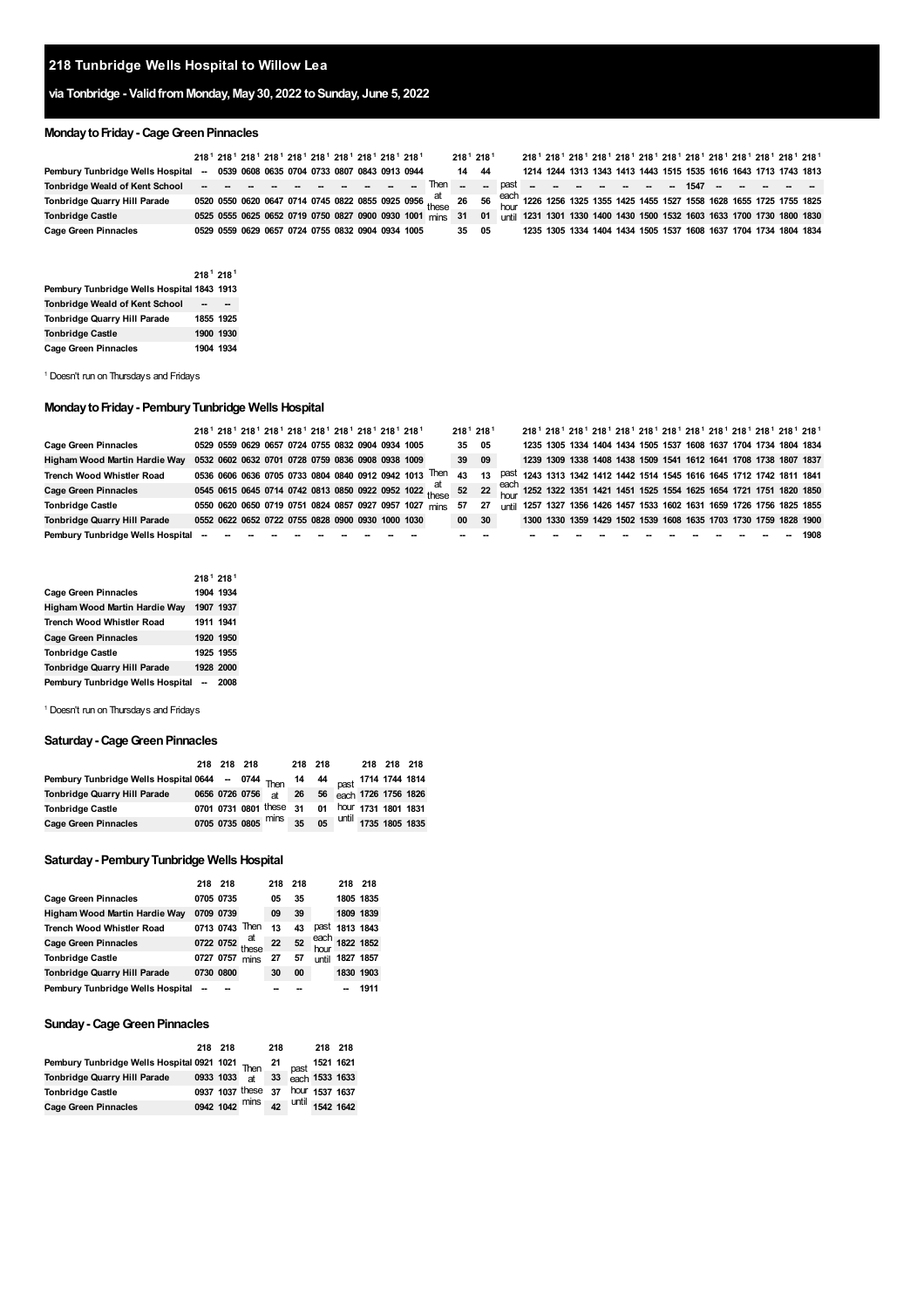# **Tunbridge Wells Hospital to Willow Lea**

# **via Tonbridge - ValidfromMonday, May30, 2022 toSunday, June 5, 2022**

# **MondaytoFriday- CageGreenPinnacles**

|                                                                                  | 218 <sup>1</sup> 218 <sup>1</sup> 218 <sup>1</sup> 218 <sup>1</sup> 218 <sup>1</sup> 218 <sup>1</sup> 218 <sup>1</sup> 218 <sup>1</sup> 218 <sup>1</sup> 218 <sup>1</sup> |  |  |  |  |                                                                                                                                     |       | 218 <sup>1</sup> 218 <sup>1</sup> |  |  | 218 <sup>1</sup> 218 <sup>1</sup> 218 <sup>1</sup> 218 <sup>1</sup> 218 <sup>1</sup> 218 <sup>1</sup> 218 <sup>1</sup> 218 <sup>1</sup> 218 <sup>1</sup> 218 <sup>1</sup> 218 <sup>1</sup> 218 <sup>1</sup> 218 <sup>1</sup> |  |  |  |  |                                                                                                                                      |
|----------------------------------------------------------------------------------|---------------------------------------------------------------------------------------------------------------------------------------------------------------------------|--|--|--|--|-------------------------------------------------------------------------------------------------------------------------------------|-------|-----------------------------------|--|--|------------------------------------------------------------------------------------------------------------------------------------------------------------------------------------------------------------------------------|--|--|--|--|--------------------------------------------------------------------------------------------------------------------------------------|
| Pembury Tunbridge Wells Hospital -- 0539 0608 0635 0704 0733 0807 0843 0913 0944 |                                                                                                                                                                           |  |  |  |  |                                                                                                                                     | 14 44 |                                   |  |  | 1214 1244 1313 1343 1413 1443 1515 1535 1616 1643 1713 1743 1813                                                                                                                                                             |  |  |  |  |                                                                                                                                      |
|                                                                                  |                                                                                                                                                                           |  |  |  |  |                                                                                                                                     |       |                                   |  |  |                                                                                                                                                                                                                              |  |  |  |  |                                                                                                                                      |
| Tonbridge Quarry Hill Parade                                                     |                                                                                                                                                                           |  |  |  |  |                                                                                                                                     |       |                                   |  |  |                                                                                                                                                                                                                              |  |  |  |  | 0520 0550 0620 0647 0714 0745 0822 0855 0925 0956 at a case of each 1226 1256 1325 1355 1425 1455 1527 1558 1628 1655 1725 1755 1825 |
| <b>Tonbridge Castle</b>                                                          |                                                                                                                                                                           |  |  |  |  | 0525 0555 0625 0652 0719 0750 0827 0900 0930 1001 mins 31 01 until 1231 1301 1330 1400 1430 1500 1532 1603 1633 1700 1730 1800 1830 |       |                                   |  |  |                                                                                                                                                                                                                              |  |  |  |  |                                                                                                                                      |
| Cage Green Pinnacles                                                             | 0529 0559 0629 0657 0724 0755 0832 0904 0934 1005                                                                                                                         |  |  |  |  |                                                                                                                                     | 35 05 |                                   |  |  | 1235 1305 1334 1404 1434 1505 1537 1608 1637 1704 1734 1804 1834                                                                                                                                                             |  |  |  |  |                                                                                                                                      |

|                                            | 218 <sup>1</sup> 218 <sup>1</sup> |           |
|--------------------------------------------|-----------------------------------|-----------|
| Pembury Tunbridge Wells Hospital 1843 1913 |                                   |           |
| <b>Tonbridge Weald of Kent School</b>      |                                   |           |
| <b>Tonbridge Quarry Hill Parade</b>        |                                   | 1855 1925 |
| <b>Tonbridge Castle</b>                    |                                   | 1900 1930 |
| <b>Cage Green Pinnacles</b>                |                                   | 1904 1934 |

<span id="page-0-0"></span>Doesn't run on Thursdays and Fridays

## **MondaytoFriday- PemburyTunbridge Wells Hospital**

|                                    |  |  |  |  | 218 <sup>1</sup> 218 <sup>1</sup> 218 <sup>1</sup> 218 <sup>1</sup> 218 <sup>1</sup> 218 <sup>1</sup> 218 <sup>1</sup> 218 <sup>1</sup> 218 <sup>1</sup> 218 <sup>1</sup> |                                                                                                                                     |    | 218 <sup>1</sup> 218 <sup>1</sup> |  |  | 218 <sup>1</sup> 218 <sup>1</sup> 218 <sup>1</sup> 218 <sup>1</sup> 218 <sup>1</sup> 218 <sup>1</sup> 218 <sup>1</sup> 218 <sup>1</sup> 218 <sup>1</sup> 218 <sup>1</sup> 218 <sup>1</sup> 218 <sup>1</sup> 218 <sup>1</sup> |  |  |  |  |                                                                        |
|------------------------------------|--|--|--|--|---------------------------------------------------------------------------------------------------------------------------------------------------------------------------|-------------------------------------------------------------------------------------------------------------------------------------|----|-----------------------------------|--|--|------------------------------------------------------------------------------------------------------------------------------------------------------------------------------------------------------------------------------|--|--|--|--|------------------------------------------------------------------------|
| <b>Cage Green Pinnacles</b>        |  |  |  |  | 0529 0559 0629 0657 0724 0755 0832 0904 0934 1005                                                                                                                         |                                                                                                                                     |    | 35 05                             |  |  | 1235 1305 1334 1404 1434 1505 1537 1608 1637 1704 1734 1804 1834                                                                                                                                                             |  |  |  |  |                                                                        |
| Higham Wood Martin Hardie Way      |  |  |  |  | 0532 0602 0632 0701 0728 0759 0836 0908 0938 1009                                                                                                                         |                                                                                                                                     |    | 39 09                             |  |  | 1239 1309 1338 1408 1438 1509 1541 1612 1641 1708 1738 1807 1837                                                                                                                                                             |  |  |  |  |                                                                        |
| <b>Trench Wood Whistler Road</b>   |  |  |  |  | 0536 0606 0636 0705 0733 0804 0840 0912 0942 1013 Then                                                                                                                    |                                                                                                                                     | 43 | 13                                |  |  |                                                                                                                                                                                                                              |  |  |  |  | past 1243 1313 1342 1412 1442 1514 1545 1616 1645 1712 1742 1811 1841  |
| <b>Cage Green Pinnacles</b>        |  |  |  |  |                                                                                                                                                                           | 0545 0615 0645 0714 0742 0813 0850 0922 0952 1022 these 52 22 each 1252 1322 1351 1421 1451 1525 1554 1625 1654 1721 1751 1820 1850 |    |                                   |  |  |                                                                                                                                                                                                                              |  |  |  |  |                                                                        |
| <b>Tonbridge Castle</b>            |  |  |  |  |                                                                                                                                                                           | 0550 0620 0650 0719 0751 0824 0857 0927 0957 1027 mins 57                                                                           |    | 27                                |  |  |                                                                                                                                                                                                                              |  |  |  |  | until 1257 1327 1356 1426 1457 1533 1602 1631 1659 1726 1756 1825 1855 |
| Tonbridge Quarry Hill Parade       |  |  |  |  | 0552 0622 0652 0722 0755 0828 0900 0930 1000 1030                                                                                                                         |                                                                                                                                     | 00 | 30                                |  |  |                                                                                                                                                                                                                              |  |  |  |  | 1300 1330 1359 1429 1502 1539 1608 1635 1703 1730 1759 1828 1900       |
| Pembury Tunbridge Wells Hospital - |  |  |  |  |                                                                                                                                                                           |                                                                                                                                     |    |                                   |  |  |                                                                                                                                                                                                                              |  |  |  |  | 1908                                                                   |

|                                  | $2181$ 218 <sup>1</sup> |      |
|----------------------------------|-------------------------|------|
| <b>Cage Green Pinnacles</b>      | 1904 1934               |      |
| Higham Wood Martin Hardie Way    | 1907 1937               |      |
| Trench Wood Whistler Road        | 1911 1941               |      |
| <b>Cage Green Pinnacles</b>      | 1920 1950               |      |
| <b>Tonbridge Castle</b>          | 1925 1955               |      |
| Tonbridge Quarry Hill Parade     | 1928 2000               |      |
| Pembury Tunbridge Wells Hospital | $\sim$                  | 2008 |

Doesn't run on Thursdays and Fridays

### **Saturday - Cage Green Pinnacles**

|                                                                             |  | 218 218 218 |                                                | 218 218 |  | 218 218 218 |  |
|-----------------------------------------------------------------------------|--|-------------|------------------------------------------------|---------|--|-------------|--|
| Pembury Tunbridge Wells Hospital 0644 - 0744 Then 14 44 past 1714 1744 1814 |  |             |                                                |         |  |             |  |
| Tonbridge Quarry Hill Parade                                                |  |             | 0656 0726 0756 at 26 56 each 1726 1756 1826    |         |  |             |  |
| <b>Tonbridge Castle</b>                                                     |  |             | 0701 0731 0801 these 31 01 hour 1731 1801 1831 |         |  |             |  |
| <b>Cage Green Pinnacles</b>                                                 |  |             | 0705 0735 0805 mins 35 05 until 1735 1805 1835 |         |  |             |  |

## **Saturday- PemburyTunbridge Wells Hospital**

|                                     | 218 218   |                       | 218 | 218 |              | 218 218        |      |
|-------------------------------------|-----------|-----------------------|-----|-----|--------------|----------------|------|
| <b>Cage Green Pinnacles</b>         | 0705 0735 |                       | 05  | 35  |              | 1805 1835      |      |
| Higham Wood Martin Hardie Way       | 0709 0739 |                       | 09  | 39  |              | 1809 1839      |      |
| <b>Trench Wood Whistler Road</b>    |           | 0713 0743 Then        | 13  | 43  |              | past 1813 1843 |      |
| <b>Cage Green Pinnacles</b>         |           | at<br>0722 0752 these | 22  | 52  | each<br>hour | 1822 1852      |      |
| <b>Tonbridge Castle</b>             | 0727 0757 | mins                  | 27  | 57  | until        | 1827 1857      |      |
| <b>Tonbridge Quarry Hill Parade</b> | 0730 0800 |                       | 30  | 00  |              | 1830 1903      |      |
| Pembury Tunbridge Wells Hospital    |           |                       |     |     |              |                | 1911 |

### **Sunday- CageGreenPinnacles**

|                                                                   | 218 218 |                                   | 218 | 218 218 |  |
|-------------------------------------------------------------------|---------|-----------------------------------|-----|---------|--|
| Pembury Tunbridge Wells Hospital 0921 1021 Then 21 past 1521 1621 |         |                                   |     |         |  |
| Tonbridge Quarry Hill Parade                                      |         | 0933 1033 at 33 each 1533 1633    |     |         |  |
| <b>Tonbridge Castle</b>                                           |         | 0937 1037 these 37 hour 1537 1637 |     |         |  |
| <b>Cage Green Pinnacles</b>                                       |         | 0942 1042 mins 42 until 1542 1642 |     |         |  |